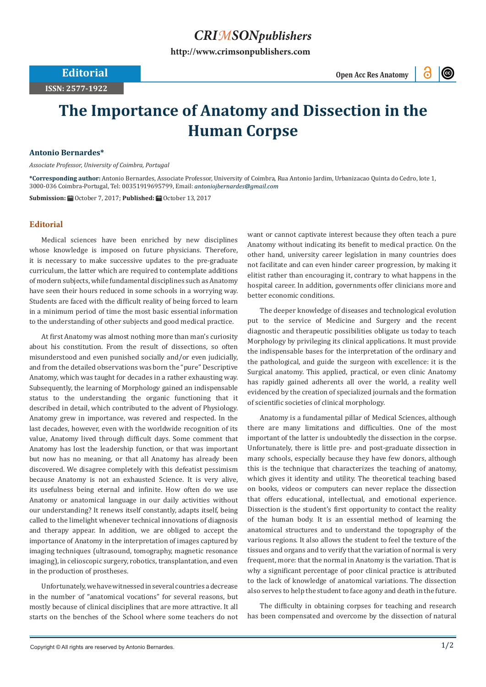## *CRIMSONpublishers*

**[http://www.crimsonpublishers.com](http://crimsonpublishers.com)**

**ISSN: 2577-1922**

**Editorial** Open Acc Res Anatomy

 $\odot$ 

# **The Importance of Anatomy and Dissection in the Human Corpse**

### **Antonio Bernardes\***

*Associate Professor, University of Coimbra, Portugal*

**\*Corresponding author:** Antonio Bernardes, Associate Professor, University of Coimbra, Rua Antonio Jardim, Urbanizacao Quinta do Cedro, lote 1, 3000-036 Coimbra-Portugal, Tel: 00351919695799, Email:

**Submission:** ■ October 7, 2017; Published: ■ October 13, 2017

### **Editorial**

Medical sciences have been enriched by new disciplines whose knowledge is imposed on future physicians. Therefore, it is necessary to make successive updates to the pre-graduate curriculum, the latter which are required to contemplate additions of modern subjects, while fundamental disciplines such as Anatomy have seen their hours reduced in some schools in a worrying way. Students are faced with the difficult reality of being forced to learn in a minimum period of time the most basic essential information to the understanding of other subjects and good medical practice.

At first Anatomy was almost nothing more than man's curiosity about his constitution. From the result of dissections, so often misunderstood and even punished socially and/or even judicially, and from the detailed observations was born the "pure" Descriptive Anatomy, which was taught for decades in a rather exhausting way. Subsequently, the learning of Morphology gained an indispensable status to the understanding the organic functioning that it described in detail, which contributed to the advent of Physiology. Anatomy grew in importance, was revered and respected. In the last decades, however, even with the worldwide recognition of its value, Anatomy lived through difficult days. Some comment that Anatomy has lost the leadership function, or that was important but now has no meaning, or that all Anatomy has already been discovered. We disagree completely with this defeatist pessimism because Anatomy is not an exhausted Science. It is very alive, its usefulness being eternal and infinite. How often do we use Anatomy or anatomical language in our daily activities without our understanding? It renews itself constantly, adapts itself, being called to the limelight whenever technical innovations of diagnosis and therapy appear. In addition, we are obliged to accept the importance of Anatomy in the interpretation of images captured by imaging techniques (ultrasound, tomography, magnetic resonance imaging), in celioscopic surgery, robotics, transplantation, and even in the production of prostheses.

Unfortunately, we have witnessed in several countries a decrease in the number of "anatomical vocations" for several reasons, but mostly because of clinical disciplines that are more attractive. It all starts on the benches of the School where some teachers do not

want or cannot captivate interest because they often teach a pure Anatomy without indicating its benefit to medical practice. On the other hand, university career legislation in many countries does not facilitate and can even hinder career progression, by making it elitist rather than encouraging it, contrary to what happens in the hospital career. In addition, governments offer clinicians more and better economic conditions.

The deeper knowledge of diseases and technological evolution put to the service of Medicine and Surgery and the recent diagnostic and therapeutic possibilities obligate us today to teach Morphology by privileging its clinical applications. It must provide the indispensable bases for the interpretation of the ordinary and the pathological, and guide the surgeon with excellence: it is the Surgical anatomy. This applied, practical, or even clinic Anatomy has rapidly gained adherents all over the world, a reality well evidenced by the creation of specialized journals and the formation of scientific societies of clinical morphology.

Anatomy is a fundamental pillar of Medical Sciences, although there are many limitations and difficulties. One of the most important of the latter is undoubtedly the dissection in the corpse. Unfortunately, there is little pre- and post-graduate dissection in many schools, especially because they have few donors, although this is the technique that characterizes the teaching of anatomy, which gives it identity and utility. The theoretical teaching based on books, videos or computers can never replace the dissection that offers educational, intellectual, and emotional experience. Dissection is the student's first opportunity to contact the reality of the human body. It is an essential method of learning the anatomical structures and to understand the topography of the various regions. It also allows the student to feel the texture of the tissues and organs and to verify that the variation of normal is very frequent, more: that the normal in Anatomy is the variation. That is why a significant percentage of poor clinical practice is attributed to the lack of knowledge of anatomical variations. The dissection also serves to help the student to face agony and death in the future.

The difficulty in obtaining corpses for teaching and research has been compensated and overcome by the dissection of natural